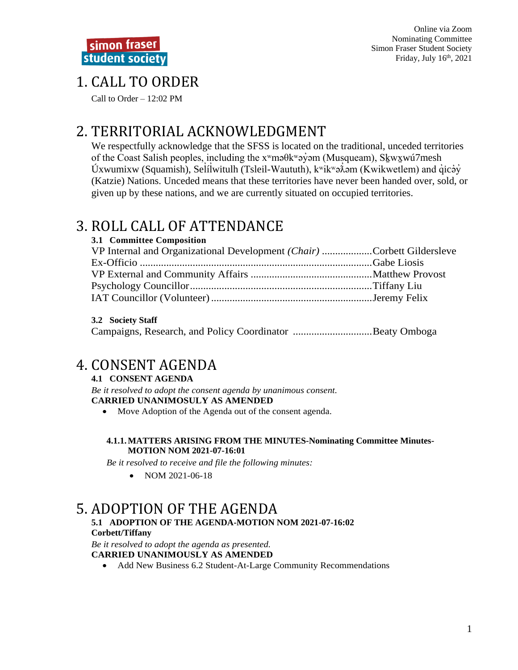# 1. CALL TO ORDER

Call to Order  $-12:02$  PM

# 2. TERRITORIAL ACKNOWLEDGMENT

We respectfully acknowledge that the SFSS is located on the traditional, unceded territories of the Coast Salish peoples, including the  $x^w$ ma $\theta$ k $^w$ ayam (Musqueam), Skw $x^w$ u $\theta$ 7mesh Úxwumixw (Squamish), Selílwitulh (Tsleil-Waututh),  $k^{\text{w}}$ ikwə $\lambda$ əm (Kwikwetlem) and qicəy (Katzie) Nations. Unceded means that these territories have never been handed over, sold, or given up by these nations, and we are currently situated on occupied territories.

# 3. ROLL CALL OF ATTENDANCE

| 3.1 Committee Composition                                              |  |
|------------------------------------------------------------------------|--|
| VP Internal and Organizational Development (Chair) Corbett Gildersleve |  |
|                                                                        |  |
|                                                                        |  |
|                                                                        |  |
|                                                                        |  |

### 3.2 Society Staff

Campaigns, Research, and Policy Coordinator ..................................Beaty Omboga

# **4. CONSENT AGENDA**

### **4.1 CONSENT AGENDA**

Be it resolved to adopt the consent agenda by unanimous consent. **CARRIED UNANIMOSULY AS AMENDED** 

• Move Adoption of the Agenda out of the consent agenda.

#### 4.1.1. MATTERS ARISING FROM THE MINUTES-Nominating Committee Minutes-**MOTION NOM 2021-07-16:01**

Be it resolved to receive and file the following minutes:

NOM 2021-06-18  $\bullet$ 

## 5. ADOPTION OF THE AGENDA

#### 5.1 ADOPTION OF THE AGENDA-MOTION NOM 2021-07-16:02 **Corbett/Tiffany**

Be it resolved to adopt the agenda as presented. **CARRIED UNANIMOUSLY AS AMENDED** 

• Add New Business 6.2 Student-At-Large Community Recommendations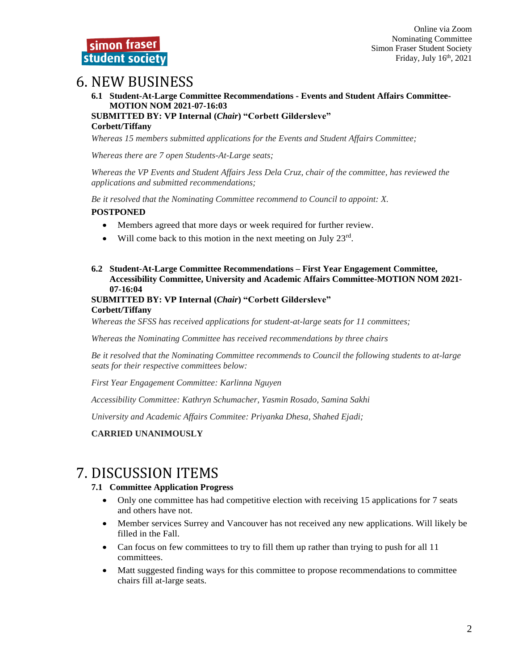## 6. NEW BUSINESS

**6.1 Student-At-Large Committee Recommendations - Events and Student Affairs Committee-MOTION NOM 2021-07-16:03 SUBMITTED BY: VP Internal (***Chair***) "Corbett Gildersleve" Corbett/Tiffany**

*Whereas 15 members submitted applications for the Events and Student Affairs Committee;*

*Whereas there are 7 open Students-At-Large seats;*

*Whereas the VP Events and Student Affairs Jess Dela Cruz, chair of the committee, has reviewed the applications and submitted recommendations;*

*Be it resolved that the Nominating Committee recommend to Council to appoint: X.* **POSTPONED**

- Members agreed that more days or week required for further review.
- Will come back to this motion in the next meeting on July  $23^{\text{rd}}$ .
- **6.2 Student-At-Large Committee Recommendations – First Year Engagement Committee, Accessibility Committee, University and Academic Affairs Committee-MOTION NOM 2021- 07-16:04**

#### **SUBMITTED BY: VP Internal (***Chair***) "Corbett Gildersleve" Corbett/Tiffany**

*Whereas the SFSS has received applications for student-at-large seats for 11 committees;*

*Whereas the Nominating Committee has received recommendations by three chairs*

*Be it resolved that the Nominating Committee recommends to Council the following students to at-large seats for their respective committees below:*

*First Year Engagement Committee: Karlinna Nguyen*

*Accessibility Committee: Kathryn Schumacher, Yasmin Rosado, Samina Sakhi*

*University and Academic Affairs Commitee: Priyanka Dhesa, Shahed Ejadi;*

#### **CARRIED UNANIMOUSLY**

## 7. DISCUSSION ITEMS

#### **7.1 Committee Application Progress**

- Only one committee has had competitive election with receiving 15 applications for 7 seats and others have not.
- Member services Surrey and Vancouver has not received any new applications. Will likely be filled in the Fall.
- Can focus on few committees to try to fill them up rather than trying to push for all 11 committees.
- Matt suggested finding ways for this committee to propose recommendations to committee chairs fill at-large seats.